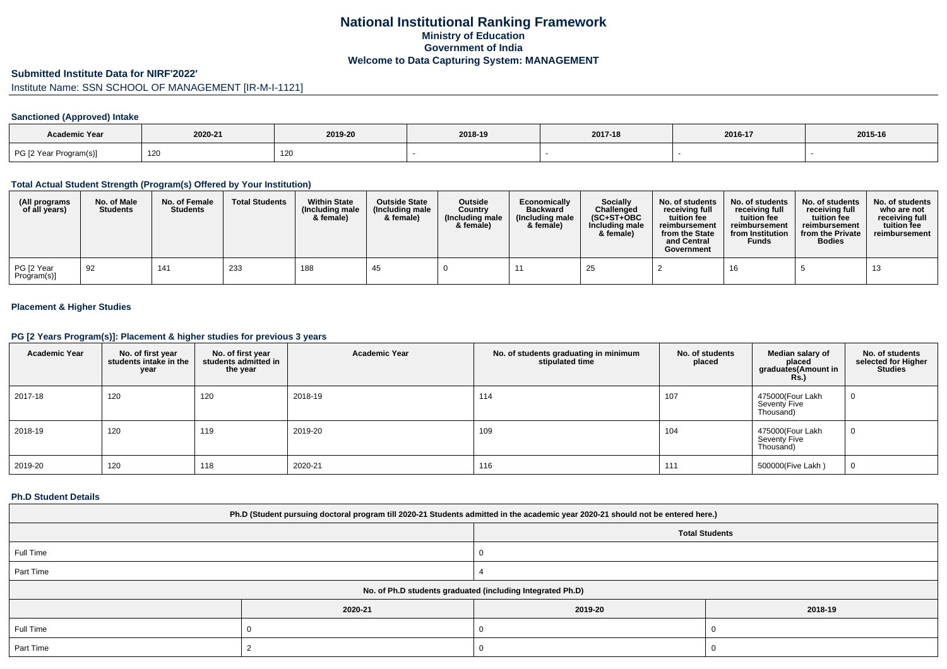# **National Institutional Ranking FrameworkMinistry of Education Government of IndiaWelcome to Data Capturing System: MANAGEMENT**

### **Submitted Institute Data for NIRF'2022'**

# Institute Name: SSN SCHOOL OF MANAGEMENT [IR-M-I-1121]

## **Sanctioned (Approved) Intake**

| <b>Academic Year</b>   |         |         |         |         |         |         |
|------------------------|---------|---------|---------|---------|---------|---------|
|                        | 2020-21 | 2019-20 | 2018-19 | 2017-18 | 2016-17 | 2015-16 |
| PG [2 Year Program(s)] | 120     | 120     |         |         |         |         |

### **Total Actual Student Strength (Program(s) Offered by Your Institution)**

| (All programs<br>of all years) | No. of Male<br><b>Students</b> | No. of Female<br><b>Students</b> | <b>Total Students</b> | <b>Within State</b><br>(Including male<br>& female) | <b>Outside State</b><br>(Including male<br>& female) | Outside<br>Country<br>(Including male<br>& female) | Economically<br><b>Backward</b><br>(Including male<br>& female) | Socially<br>Challenged<br>$(SC+ST+OBC$<br>Including male<br>& female) | No. of students<br>receiving full<br>tuition fee<br>reimbursement<br>from the State<br>and Central<br>Government | No. of students<br>receiving full<br>tuition fee<br>reimbursement<br>from Institution<br><b>Funds</b> | No. of students<br>receiving full<br>tuition fee<br>reimbursement<br>from the Private<br><b>Bodies</b> | No. of students<br>who are not<br>receiving full<br>tuition fee<br>reimbursement |
|--------------------------------|--------------------------------|----------------------------------|-----------------------|-----------------------------------------------------|------------------------------------------------------|----------------------------------------------------|-----------------------------------------------------------------|-----------------------------------------------------------------------|------------------------------------------------------------------------------------------------------------------|-------------------------------------------------------------------------------------------------------|--------------------------------------------------------------------------------------------------------|----------------------------------------------------------------------------------|
| PG [2 Year<br>Program(s)]      | -92                            | 141                              | 233                   | 188                                                 | -45                                                  |                                                    |                                                                 | 25                                                                    |                                                                                                                  |                                                                                                       |                                                                                                        |                                                                                  |

## **Placement & Higher Studies**

#### **PG [2 Years Program(s)]: Placement & higher studies for previous 3 years**

| <b>Academic Year</b> | No. of first year<br>students intake in the<br>year | No. of first year<br>students admitted in<br>the year | <b>Academic Year</b> | No. of students graduating in minimum<br>stipulated time | No. of students<br>placed | Median salary of<br>placed<br>graduates(Amount in<br><b>Rs.)</b> | No. of students<br>selected for Higher<br><b>Studies</b> |
|----------------------|-----------------------------------------------------|-------------------------------------------------------|----------------------|----------------------------------------------------------|---------------------------|------------------------------------------------------------------|----------------------------------------------------------|
| 2017-18              | 120                                                 | 120                                                   | 2018-19              | 114                                                      | 107                       | 475000(Four Lakh<br>Seventy Five<br>Thousand)                    | U                                                        |
| 2018-19              | 120                                                 | 119                                                   | 2019-20              | 109                                                      | 104                       | 475000(Four Lakh<br>Seventy Five<br>Thousand)                    | U                                                        |
| 2019-20              | 120                                                 | 118                                                   | 2020-21              | 116                                                      | 111                       | 500000(Five Lakh)                                                | U                                                        |

### **Ph.D Student Details**

| Ph.D (Student pursuing doctoral program till 2020-21 Students admitted in the academic year 2020-21 should not be entered here.) |         |         |         |  |  |  |
|----------------------------------------------------------------------------------------------------------------------------------|---------|---------|---------|--|--|--|
| <b>Total Students</b>                                                                                                            |         |         |         |  |  |  |
| Full Time                                                                                                                        |         |         |         |  |  |  |
| Part Time                                                                                                                        |         |         |         |  |  |  |
| No. of Ph.D students graduated (including Integrated Ph.D)                                                                       |         |         |         |  |  |  |
|                                                                                                                                  | 2020-21 | 2019-20 | 2018-19 |  |  |  |
| Full Time                                                                                                                        |         |         |         |  |  |  |
| Part Time                                                                                                                        |         |         |         |  |  |  |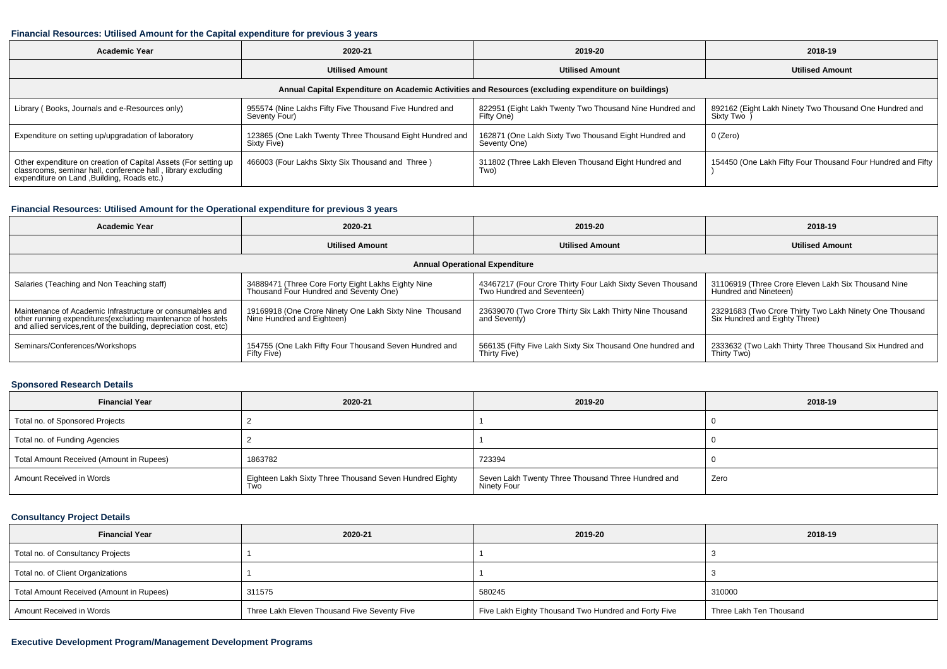#### **Financial Resources: Utilised Amount for the Capital expenditure for previous 3 years**

| Academic Year                                                                                                                                                                  | 2020-21                                                                  | 2019-20                                                               | 2018-19                                                               |  |  |  |  |  |
|--------------------------------------------------------------------------------------------------------------------------------------------------------------------------------|--------------------------------------------------------------------------|-----------------------------------------------------------------------|-----------------------------------------------------------------------|--|--|--|--|--|
|                                                                                                                                                                                | <b>Utilised Amount</b>                                                   | <b>Utilised Amount</b>                                                | <b>Utilised Amount</b>                                                |  |  |  |  |  |
| Annual Capital Expenditure on Academic Activities and Resources (excluding expenditure on buildings)                                                                           |                                                                          |                                                                       |                                                                       |  |  |  |  |  |
| Library (Books, Journals and e-Resources only)                                                                                                                                 | 955574 (Nine Lakhs Fifty Five Thousand Five Hundred and<br>Seventy Four) | 822951 (Eight Lakh Twenty Two Thousand Nine Hundred and<br>Fifty One) | 892162 (Eight Lakh Ninety Two Thousand One Hundred and<br>Sixty Two ) |  |  |  |  |  |
| Expenditure on setting up/upgradation of laboratory                                                                                                                            | 123865 (One Lakh Twenty Three Thousand Eight Hundred and<br>Sixty Five)  | 162871 (One Lakh Sixty Two Thousand Eight Hundred and<br>Seventy One) | 0 (Zero)                                                              |  |  |  |  |  |
| Other expenditure on creation of Capital Assets (For setting up<br>classrooms, seminar hall, conference hall, library excluding<br>expenditure on Land , Building, Roads etc.) | 466003 (Four Lakhs Sixty Six Thousand and Three)                         | 311802 (Three Lakh Eleven Thousand Eight Hundred and<br>Two)          | 154450 (One Lakh Fifty Four Thousand Four Hundred and Fifty           |  |  |  |  |  |

## **Financial Resources: Utilised Amount for the Operational expenditure for previous 3 years**

| Academic Year                                                                                                                                                                                  | 2020-21                                                                                      | 2019-20                                                                                  | 2018-19                                                                                  |  |  |  |  |  |
|------------------------------------------------------------------------------------------------------------------------------------------------------------------------------------------------|----------------------------------------------------------------------------------------------|------------------------------------------------------------------------------------------|------------------------------------------------------------------------------------------|--|--|--|--|--|
|                                                                                                                                                                                                | <b>Utilised Amount</b>                                                                       | <b>Utilised Amount</b>                                                                   | <b>Utilised Amount</b>                                                                   |  |  |  |  |  |
| <b>Annual Operational Expenditure</b>                                                                                                                                                          |                                                                                              |                                                                                          |                                                                                          |  |  |  |  |  |
| Salaries (Teaching and Non Teaching staff)                                                                                                                                                     | 34889471 (Three Core Forty Eight Lakhs Eighty Nine<br>Thousand Four Hundred and Seventy One) | 43467217 (Four Crore Thirty Four Lakh Sixty Seven Thousand<br>Two Hundred and Seventeen) | 31106919 (Three Crore Eleven Lakh Six Thousand Nine<br>Hundred and Nineteen)             |  |  |  |  |  |
| Maintenance of Academic Infrastructure or consumables and<br>other running expenditures(excluding maintenance of hostels<br>and allied services, rent of the building, depreciation cost, etc) | 19169918 (One Crore Ninety One Lakh Sixty Nine Thousand<br>Nine Hundred and Eighteen)        | 23639070 (Two Crore Thirty Six Lakh Thirty Nine Thousand<br>and Seventy)                 | 23291683 (Two Crore Thirty Two Lakh Ninety One Thousand<br>Six Hundred and Eighty Three) |  |  |  |  |  |
| Seminars/Conferences/Workshops                                                                                                                                                                 | 154755 (One Lakh Fifty Four Thousand Seven Hundred and<br>Fifty Five)                        | 566135 (Fifty Five Lakh Sixty Six Thousand One hundred and<br>Thirty Five)               | 2333632 (Two Lakh Thirty Three Thousand Six Hundred and<br>Thirty Two)                   |  |  |  |  |  |

## **Sponsored Research Details**

| <b>Financial Year</b>                    | 2020-21                                                                | 2019-20                                                           | 2018-19 |
|------------------------------------------|------------------------------------------------------------------------|-------------------------------------------------------------------|---------|
| Total no. of Sponsored Projects          |                                                                        |                                                                   |         |
| Total no. of Funding Agencies            |                                                                        |                                                                   |         |
| Total Amount Received (Amount in Rupees) | 1863782                                                                | 723394                                                            |         |
| Amount Received in Words                 | Eighteen Lakh Sixty Three Thousand Seven Hundred Eighty<br><b>I</b> WO | Seven Lakh Twenty Three Thousand Three Hundred and<br>Ninety Four | Zero    |

### **Consultancy Project Details**

| <b>Financial Year</b>                    | 2020-21                                      | 2019-20                                              | 2018-19                 |
|------------------------------------------|----------------------------------------------|------------------------------------------------------|-------------------------|
| Total no. of Consultancy Projects        |                                              |                                                      |                         |
| Total no. of Client Organizations        |                                              |                                                      |                         |
| Total Amount Received (Amount in Rupees) | 311575                                       | 580245                                               | 310000                  |
| Amount Received in Words                 | Three Lakh Eleven Thousand Five Seventy Five | Five Lakh Eighty Thousand Two Hundred and Forty Five | Three Lakh Ten Thousand |